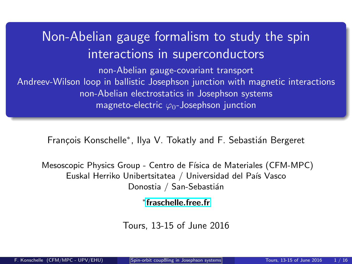# <span id="page-0-0"></span>Non-Abelian gauge formalism to study the spin interactions in superconductors

non-Abelian gauge-covariant transport Andreev-Wilson loop in ballistic Josephson junction with magnetic interactions non-Abelian electrostatics in Josephson systems magneto-electric  $\varphi_0$ -Josephson junction

François Konschelle\*, Ilya V. Tokatly and F. Sebastián Bergeret

Mesoscopic Physics Group - Centro de Física de Materiales (CFM-MPC) Euskal Herriko Unibertsitatea / Universidad del País Vasco Donostia / San-Sebastián

∗ [fraschelle.free.fr](http://fraschelle.free.fr)

Tours, 13-15 of June 2016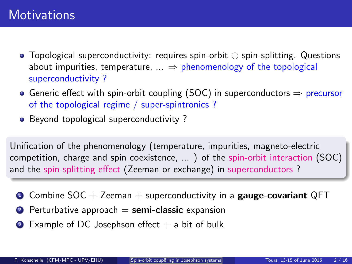- Topological superconductivity: requires spin-orbit ⊕ spin-splitting. Questions about impurities, temperature,  $\ldots \Rightarrow$  phenomenology of the topological superconductivity ?
- Generic effect with spin-orbit coupling (SOC) in superconductors  $\Rightarrow$  precursor of the topological regime / super-spintronics ?
- Beyond topological superconductivity?

Unification of the phenomenology (temperature, impurities, magneto-electric competition, charge and spin coexistence, ... ) of the spin-orbit interaction (SOC) and the spin-splitting effect (Zeeman or exchange) in superconductors ?

- **O** Combine SOC + Zeeman + superconductivity in a gauge-covariant QFT
- $\bullet$  Perturbative approach  $=$  semi-classic expansion
- $\bullet$  Example of DC Josephson effect  $+$  a bit of bulk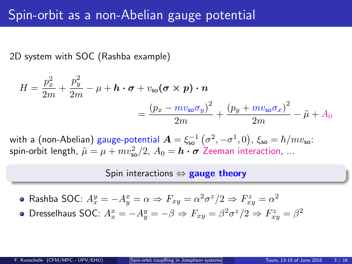2D system with SOC (Rashba example)

$$
H = \frac{p_x^2}{2m} + \frac{p_y^2}{2m} - \mu + \mathbf{h} \cdot \boldsymbol{\sigma} + v_{\mathsf{so}}(\boldsymbol{\sigma} \times \boldsymbol{p}) \cdot \boldsymbol{n}
$$
  
= 
$$
\frac{(p_x - mv_{\mathsf{so}}\sigma_y)^2}{2m} + \frac{(p_y + mv_{\mathsf{so}}\sigma_x)^2}{2m} - \tilde{\mu} + A_0
$$

with a (non-Abelian) gauge-potential  $\boldsymbol{A} = \xi_{\rm so}^{-1}(\sigma^2, -\sigma^1, 0)$ ,  $\xi_{\rm so} = \hbar/mv_{\rm so}$ : spin-orbit length,  $\tilde{\mu} = \mu + mv_{\sf so}^2/2$ ,  $A_0 = \bm{h} \bm{\cdot} \bm{\sigma}$  Zeeman interaction, ...

#### Spin interactions  $\Leftrightarrow$  gauge theory

Rashba SOC:  $A_x^y = -A_y^x = \alpha \Rightarrow F_{xy} = \alpha^2 \sigma^z / 2 \Rightarrow F_{xy}^z = \alpha^2$ Dresselhaus SOC:  $A_x^x = -A_y^y = -\beta \Rightarrow F_{xy} = \beta^2 \sigma^z / 2 \Rightarrow F_{xy}^z = \beta^2$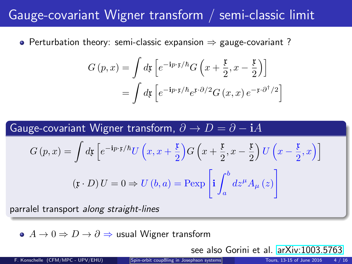## Gauge-covariant Wigner transform / semi-classic limit

• Perturbation theory: semi-classic expansion  $\Rightarrow$  gauge-covariant ?

$$
G(p,x) = \int d\mathfrak{x} \left[ e^{-i p \cdot \mathfrak{x}/\hbar} G\left(x + \frac{\mathfrak{x}}{2}, x - \frac{\mathfrak{x}}{2}\right) \right]
$$

$$
= \int d\mathfrak{x} \left[ e^{-i p \cdot \mathfrak{x}/\hbar} e^{\mathfrak{x} \cdot \partial/2} G(x, x) e^{-\mathfrak{x} \cdot \partial^{\dagger}/2} \right]
$$

Gauge-covariant Wigner transform, 
$$
\partial \to D = \partial - iA
$$
  
\n
$$
G(p, x) = \int d\mathfrak{x} \left[ e^{-i p \cdot \mathfrak{x}/\hbar} U(x, x + \frac{\mathfrak{x}}{2}) G\left(x + \frac{\mathfrak{x}}{2}, x - \frac{\mathfrak{x}}{2}\right) U\left(x - \frac{\mathfrak{x}}{2}, x\right) \right]
$$
\n
$$
(\mathfrak{x} \cdot D) U = 0 \Rightarrow U(b, a) = \text{Pexp}\left[ i \int_a^b dz^\mu A_\mu(z) \right]
$$

parralel transport along straight-lines

 $\bullet$   $A \to 0 \Rightarrow D \to \partial \Rightarrow$  usual Wigner transform

see also Gorini et al. [arXiv:1003.5763](http://arxiv.org/abs/1003.5763)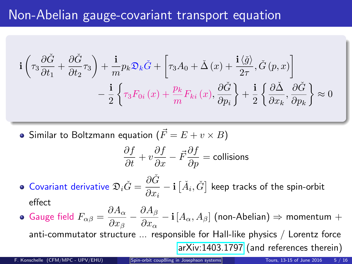## Non-Abelian gauge-covariant transport equation

$$
\mathbf{i}\left(\tau_3 \frac{\partial \check{G}}{\partial t_1} + \frac{\partial \check{G}}{\partial t_2} \tau_3\right) + \frac{\mathbf{i}}{m} p_k \mathfrak{D}_k \check{G} + \left[\tau_3 A_0 + \check{\Delta}\left(x\right) + \frac{\mathbf{i}\left\langle \check{g} \right\rangle}{2\tau}, \check{G}\left(p, x\right)\right] \n- \frac{\mathbf{i}}{2} \left\{\tau_3 F_{0i}\left(x\right) + \frac{p_k}{m} F_{ki}\left(x\right), \frac{\partial \check{G}}{\partial p_i}\right\} + \frac{\mathbf{i}}{2} \left\{\frac{\partial \check{\Delta}}{\partial x_k}, \frac{\partial \check{G}}{\partial p_k}\right\} \approx 0
$$

 $\bullet$  Similar to Boltzmann equation  $(\vec{F} = E + v \times B)$ 

$$
\frac{\partial f}{\partial t} + v \frac{\partial f}{\partial x} - \vec{F} \frac{\partial f}{\partial p} = \text{collisions}
$$

- Covariant derivative  $\mathfrak{D}_i \check{G} = \frac{\partial \check{G}}{\partial x^i}$  $\frac{\partial G}{\partial x_i} - \mathbf{i} \left[ \check{A}_i, \check{G} \right]$  keep tracks of the spin-orbit effect
- Gauge field  $F_{\alpha\beta} = \frac{\partial A_{\alpha}}{\partial x}$  $\overline{\partial x_\beta}$  –  $\partial A_\beta$  $\frac{\partial \Omega_{\rho}}{\partial x_{\alpha}} - \mathbf{i} [A_{\alpha}, A_{\beta}]$  (non-Abelian)  $\Rightarrow$  momentum  $+$ anti-commutator structure ... responsible for Hall-like physics / Lorentz force [arXiv:1403.1797](http://arxiv.org/abs/1403.1797) (and references therein)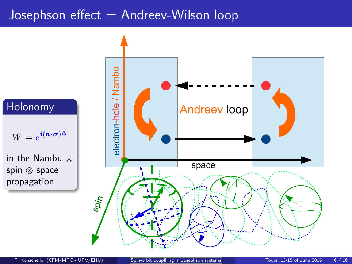## Josephson effect  $=$  Andreev-Wilson loop



#### Holonomy

 $W = e^{i(\mathbf{n} \cdot \boldsymbol{\sigma})\Phi}$ 

in the Nambu ⊗ spin ⊗ space propagation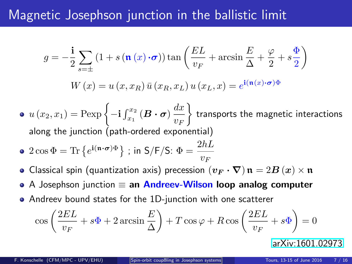## Magnetic Josephson junction in the ballistic limit

$$
g = -\frac{\mathbf{i}}{2} \sum_{s=\pm} \left( 1 + s \left( \mathbf{n} \left( x \right) \cdot \boldsymbol{\sigma} \right) \right) \tan \left( \frac{EL}{v_F} + \arcsin \frac{E}{\Delta} + \frac{\varphi}{2} + s \frac{\Phi}{2} \right)
$$

$$
W(x) = u(x, x_R) \bar{u}(x_R, x_L) u(x_L, x) = e^{\mathbf{i} (\mathbf{n}(x) \cdot \boldsymbol{\sigma}) \Phi}
$$

- $u(x_2, x_1) = \text{Pexp}\left\{-\mathbf{i}\int_{x_1}^{x_2} (\boldsymbol{B} \cdot \boldsymbol{\sigma}) \frac{dx}{w} \right\}$  $v_F$  $\mathcal{L}$ transports the magnetic interactions along the junction (path-ordered exponential)
- $2\cos\Phi = \text{Tr}\left\{e^{\mathbf{i}(\mathbf{n}\cdot\boldsymbol{\sigma})\Phi}\right\}$ ; in  $S/F/S$ :  $\Phi = \frac{2hL}{v_F}$
- Classical spin (quantization axis) precession  $(v_F \cdot \nabla) \mathfrak{n} = 2B(x) \times \mathfrak{n}$  $\bullet$
- A Josephson junction  $\equiv$  an Andreev-Wilson loop analog computer  $\bullet$
- Andreev bound states for the 1D-junction with one scatterer

$$
\cos\left(\frac{2EL}{v_F} + s\Phi + 2\arcsin\frac{E}{\Delta}\right) + T\cos\varphi + R\cos\left(\frac{2EL}{v_F} + s\Phi\right) = 0
$$

[arXiv:1601.02973](http://arxiv.org/abs/1601.02973)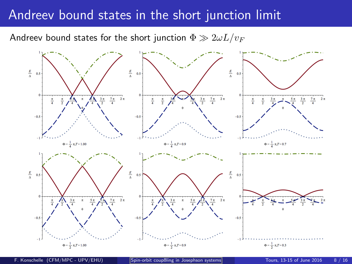### Andreev bound states in the short junction limit

Andreev bound states for the short junction  $\Phi \gg 2\omega L/v_F$ 



F. Konschelle (CFM/MPC - UPV/EHU) [Spin-orbit coupßling in Josephson systems](#page-0-0) Tours, 13-15 of June 2016 8 / 16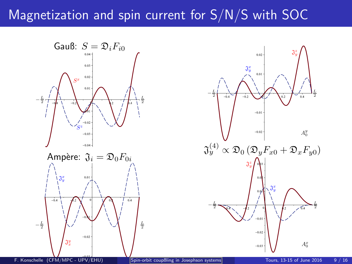## Magnetization and spin current for S/N/S with SOC



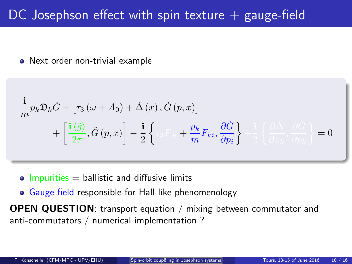## DC Josephson effect with spin texture  $+$  gauge-field

• Next order non-trivial example

$$
\frac{\mathbf{i}}{m} p_k \mathfrak{D}_k \check{G} + \left[ \tau_3 \left( \omega + A_0 \right) + \check{\Delta} \left( x \right), \check{G} \left( p, x \right) \right] \n+ \left[ \frac{\mathbf{i} \left\langle \check{g} \right\rangle}{2 \tau}, \check{G} \left( p, x \right) \right] - \frac{\mathbf{i}}{2} \left\{ \tau_3 \Gamma_0, + \frac{p_k}{m} F_{ki}, \frac{\partial \check{G}}{\partial p_i} \right\} + \frac{\mathbf{i}}{2} \left\{ \frac{\partial \check{\Delta}}{\partial x_k}, \frac{\partial \check{G}}{\partial p_k} \right\} = 0
$$

- $\bullet$  Impurities = ballistic and diffusive limits
- Gauge field responsible for Hall-like phenomenology

OPEN QUESTION: transport equation / mixing between commutator and anti-commutators / numerical implementation ?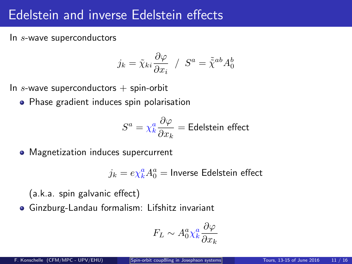## Edelstein and inverse Edelstein effects

In s-wave superconductors

$$
j_k = \tilde{\chi}_{ki} \frac{\partial \varphi}{\partial x_i} / S^a = \tilde{\tilde{\chi}}^{ab} A_0^b
$$

In s-wave superconductors  $+$  spin-orbit

**•** Phase gradient induces spin polarisation

$$
S^{a} = \chi_{k}^{a} \frac{\partial \varphi}{\partial x_{k}} = \text{Edelstein effect}
$$

• Magnetization induces supercurrent

$$
j_k = e \chi_k^a A_0^a = \text{Inverse Edelstein effect}
$$

(a.k.a. spin galvanic effect)

Ginzburg-Landau formalism: Lifshitz invariant

$$
F_L \sim A_0^a \chi_k^a \frac{\partial \varphi}{\partial x_k}
$$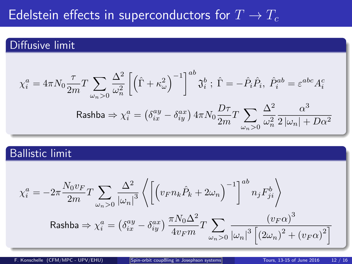## Edelstein effects in superconductors for  $T \to T_c$

### Diffusive limit

$$
\chi_i^a = 4\pi N_0 \frac{\tau}{2m} T \sum_{\omega_n > 0} \frac{\Delta^2}{\omega_n^2} \left[ \left( \hat{\Gamma} + \kappa_\omega^2 \right)^{-1} \right]^{ab} \mathfrak{J}_i^b; \ \hat{\Gamma} = -\hat{P}_i \hat{P}_i, \ \hat{P}_i^{ab} = \varepsilon^{abc} A_i^c
$$
  
Rashba  $\Rightarrow \chi_i^a = \left( \delta_{ix}^{ay} - \delta_{iy}^{ax} \right) 4\pi N_0 \frac{D\tau}{2m} T \sum_{\omega_n > 0} \frac{\Delta^2}{\omega_n^2} \frac{\alpha^3}{2 |\omega_n| + D\alpha^2}$ 

### Ballistic limit

$$
\chi_i^a = -2\pi \frac{N_0 v_F}{2m} T \sum_{\omega_n > 0} \frac{\Delta^2}{|\omega_n|^3} \left\langle \left[ \left( v_F n_k \hat{P}_k + 2\omega_n \right)^{-1} \right]^{ab} n_j F_{ji}^b \right\rangle
$$
  
Rashba  $\Rightarrow \chi_i^a = \left( \delta_{ix}^{ay} - \delta_{iy}^{ax} \right) \frac{\pi N_0 \Delta^2}{4v_F m} T \sum_{\omega_n > 0} \frac{\left( v_F \alpha \right)^3}{|\omega_n|^3 \left[ \left( 2\omega_n \right)^2 + \left( v_F \alpha \right)^2 \right]}$ 

F. Konschelle (CFM/MPC - UPV/EHU) [Spin-orbit coupßling in Josephson systems](#page-0-0) Tours, 13-15 of June 2016 12 / 16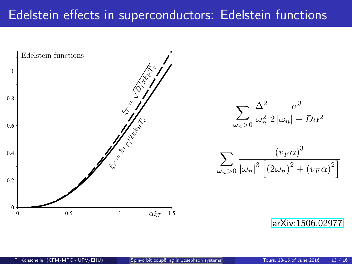## Edelstein effects in superconductors: Edelstein functions



[arXiv:1506.02977](http://arxiv.org/abs/1506.02977)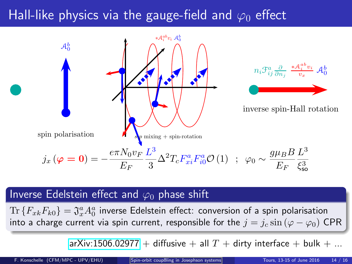## Hall-like physics via the gauge-field and  $\varphi_0$  effect



### Inverse Edelstein effect and  $\varphi_0$  phase shift

 $\text{Tr}\left\{F_{x k} F_{k 0}\right\} = \mathfrak{J}^a_x A^a_0$  inverse Edelstein effect: conversion of a spin polarisation into a charge current via spin current, responsible for the  $j = j_c \sin (\varphi - \varphi_0)$  CPR

[arXiv:1506.02977](http://arxiv.org/abs/1506.02977) + diffusive + all  $T +$  dirty interface + bulk + ...

F. Konschelle (CFM/MPC - UPV/EHU) [Spin-orbit coupßling in Josephson systems](#page-0-0) Tours, 13-15 of June 2016 14 / 16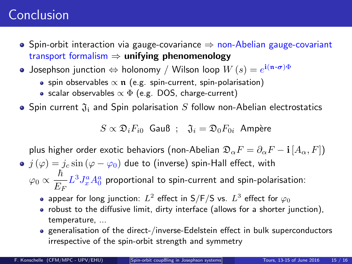## Conclusion

- Spin-orbit interaction via gauge-covariance  $\Rightarrow$  non-Abelian gauge-covariant transport formalism  $\Rightarrow$  unifying phenomenology
- Josephson junction  $\Leftrightarrow$  holonomy / Wilson loop  $W(s) = e^{i(\mathbf{n} \cdot \boldsymbol{\sigma})\Phi}$ 
	- spin observables  $\propto \pi$  (e.g. spin-current, spin-polarisation)
	- scalar observables  $\propto \Phi$  (e.g. DOS, charge-current)

• Spin current  $\mathfrak{J}_i$  and Spin polarisation S follow non-Abelian electrostatics

 $S \propto \mathfrak{D}_i F_{i0}$  Gauß ;  $\mathfrak{J}_i = \mathfrak{D}_0 F_{0i}$  Ampère

plus higher order exotic behaviors (non-Abelian  $\mathfrak{D}_{\alpha}F = \partial_{\alpha}F - i [A_{\alpha}, F]$ )

- $j(\varphi) = j_c \sin (\varphi \varphi_0)$  due to (inverse) spin-Hall effect, with  $\hbar$ 
	- $\varphi_0 \propto$  $\frac{n}{E_F} L^3 J_x^a A_0^a$  proportional to spin-current and spin-polarisation:
		- appear for long junction:  $L^2$  effect in S/F/S vs.  $L^3$  effect for  $\varphi_0$
		- robust to the diffusive limit, dirty interface (allows for a shorter junction), temperature, ...
		- generalisation of the direct-/inverse-Edelstein effect in bulk superconductors irrespective of the spin-orbit strength and symmetry